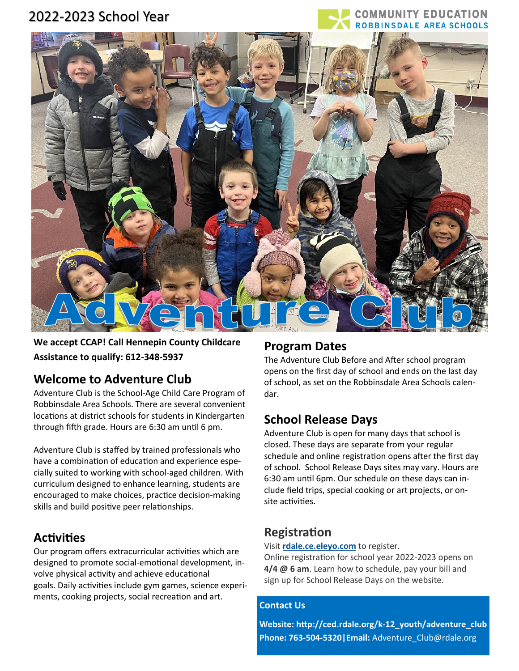# 2022-2023 School Year

#### **OMMUNITY EDUCATION DALE AREA SCHOOLS**



**We accept CCAP! Call Hennepin County Childcare Assistance to qualify: 612-348-5937**

### **Welcome to Adventure Club**

Adventure Club is the School-Age Child Care Program of Robbinsdale Area Schools. There are several convenient locations at district schools for students in Kindergarten through fifth grade. Hours are 6:30 am until 6 pm.

Adventure Club is staffed by trained professionals who have a combination of education and experience especially suited to working with school-aged children. With curriculum designed to enhance learning, students are encouraged to make choices, practice decision-making skills and build positive peer relationships.

## **Activities**

Our program offers extracurricular activities which are designed to promote social-emotional development, involve physical activity and achieve educational goals. Daily activities include gym games, science experiments, cooking projects, social recreation and art.

### **Program Dates**

The Adventure Club Before and After school program opens on the first day of school and ends on the last day of school, as set on the Robbinsdale Area Schools calendar.

## **School Release Days**

Adventure Club is open for many days that school is closed. These days are separate from your regular schedule and online registration opens after the first day of school. School Release Days sites may vary. Hours are 6:30 am until 6pm. Our schedule on these days can include field trips, special cooking or art projects, or onsite activities.

## **Registration**

Visit **[rdale.ce.eleyo.com](https://rdale.ce.eleyo.com/)** to register.

Online registration for school year 2022-2023 opens on **4/4 @ 6 am**. Learn how to schedule, pay your bill and sign up for School Release Days on the website.

#### **Contact Us**

**Website: http://ced.rdale.org/k-[12\\_youth/adventure\\_club](http://ced.rdale.org/k-12_youth/adventure_club) Phone: 763-504-5320|Email:** [Adventure\\_Club@rdale.org](https://mail.google.com/mail/?view=cm&fs=1&tf=1&to=Adventure_Club@rdale.org)